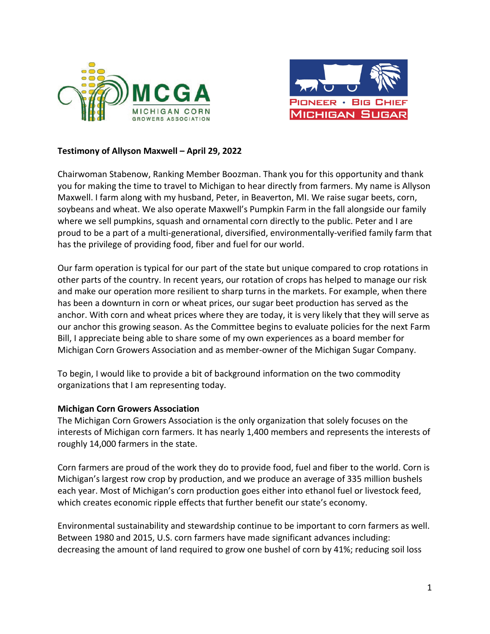



# **Testimony of Allyson Maxwell – April 29, 2022**

Chairwoman Stabenow, Ranking Member Boozman. Thank you for this opportunity and thank you for making the time to travel to Michigan to hear directly from farmers. My name is Allyson Maxwell. I farm along with my husband, Peter, in Beaverton, MI. We raise sugar beets, corn, soybeans and wheat. We also operate Maxwell's Pumpkin Farm in the fall alongside our family where we sell pumpkins, squash and ornamental corn directly to the public. Peter and I are proud to be a part of a multi-generational, diversified, environmentally-verified family farm that has the privilege of providing food, fiber and fuel for our world.

Our farm operation is typical for our part of the state but unique compared to crop rotations in other parts of the country. In recent years, our rotation of crops has helped to manage our risk and make our operation more resilient to sharp turns in the markets. For example, when there has been a downturn in corn or wheat prices, our sugar beet production has served as the anchor. With corn and wheat prices where they are today, it is very likely that they will serve as our anchor this growing season. As the Committee begins to evaluate policies for the next Farm Bill, I appreciate being able to share some of my own experiences as a board member for Michigan Corn Growers Association and as member-owner of the Michigan Sugar Company.

To begin, I would like to provide a bit of background information on the two commodity organizations that I am representing today.

### **Michigan Corn Growers Association**

The Michigan Corn Growers Association is the only organization that solely focuses on the interests of Michigan corn farmers. It has nearly 1,400 members and represents the interests of roughly 14,000 farmers in the state.

Corn farmers are proud of the work they do to provide food, fuel and fiber to the world. Corn is Michigan's largest row crop by production, and we produce an average of 335 million bushels each year. Most of Michigan's corn production goes either into ethanol fuel or livestock feed, which creates economic ripple effects that further benefit our state's economy.

Environmental sustainability and stewardship continue to be important to corn farmers as well. Between 1980 and 2015, U.S. corn farmers have made significant advances including: decreasing the amount of land required to grow one bushel of corn by 41%; reducing soil loss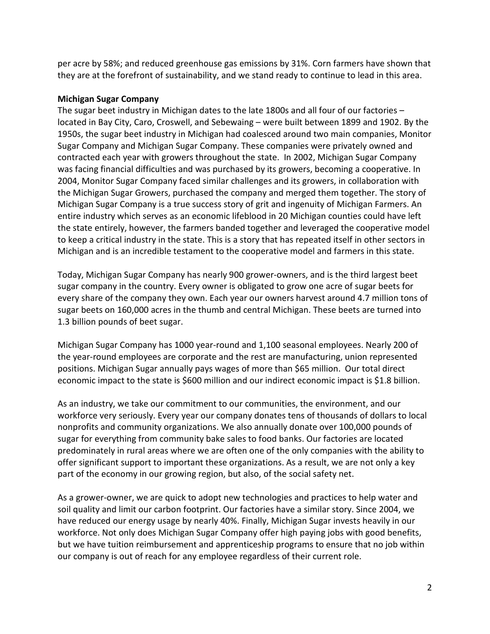per acre by 58%; and reduced greenhouse gas emissions by 31%. Corn farmers have shown that they are at the forefront of sustainability, and we stand ready to continue to lead in this area.

## **Michigan Sugar Company**

The sugar beet industry in Michigan dates to the late 1800s and all four of our factories – located in Bay City, Caro, Croswell, and Sebewaing – were built between 1899 and 1902. By the 1950s, the sugar beet industry in Michigan had coalesced around two main companies, Monitor Sugar Company and Michigan Sugar Company. These companies were privately owned and contracted each year with growers throughout the state. In 2002, Michigan Sugar Company was facing financial difficulties and was purchased by its growers, becoming a cooperative. In 2004, Monitor Sugar Company faced similar challenges and its growers, in collaboration with the Michigan Sugar Growers, purchased the company and merged them together. The story of Michigan Sugar Company is a true success story of grit and ingenuity of Michigan Farmers. An entire industry which serves as an economic lifeblood in 20 Michigan counties could have left the state entirely, however, the farmers banded together and leveraged the cooperative model to keep a critical industry in the state. This is a story that has repeated itself in other sectors in Michigan and is an incredible testament to the cooperative model and farmers in this state.

Today, Michigan Sugar Company has nearly 900 grower-owners, and is the third largest beet sugar company in the country. Every owner is obligated to grow one acre of sugar beets for every share of the company they own. Each year our owners harvest around 4.7 million tons of sugar beets on 160,000 acres in the thumb and central Michigan. These beets are turned into 1.3 billion pounds of beet sugar.

Michigan Sugar Company has 1000 year-round and 1,100 seasonal employees. Nearly 200 of the year-round employees are corporate and the rest are manufacturing, union represented positions. Michigan Sugar annually pays wages of more than \$65 million. Our total direct economic impact to the state is \$600 million and our indirect economic impact is \$1.8 billion.

As an industry, we take our commitment to our communities, the environment, and our workforce very seriously. Every year our company donates tens of thousands of dollars to local nonprofits and community organizations. We also annually donate over 100,000 pounds of sugar for everything from community bake sales to food banks. Our factories are located predominately in rural areas where we are often one of the only companies with the ability to offer significant support to important these organizations. As a result, we are not only a key part of the economy in our growing region, but also, of the social safety net.

As a grower-owner, we are quick to adopt new technologies and practices to help water and soil quality and limit our carbon footprint. Our factories have a similar story. Since 2004, we have reduced our energy usage by nearly 40%. Finally, Michigan Sugar invests heavily in our workforce. Not only does Michigan Sugar Company offer high paying jobs with good benefits, but we have tuition reimbursement and apprenticeship programs to ensure that no job within our company is out of reach for any employee regardless of their current role.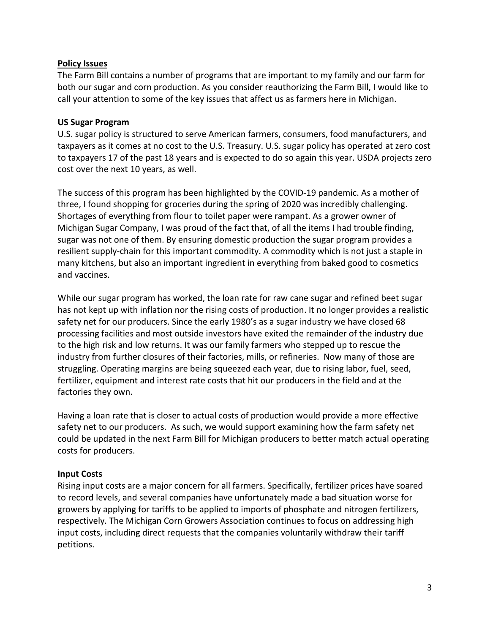# **Policy Issues**

The Farm Bill contains a number of programs that are important to my family and our farm for both our sugar and corn production. As you consider reauthorizing the Farm Bill, I would like to call your attention to some of the key issues that affect us as farmers here in Michigan.

## **US Sugar Program**

U.S. sugar policy is structured to serve American farmers, consumers, food manufacturers, and taxpayers as it comes at no cost to the U.S. Treasury. U.S. sugar policy has operated at zero cost to taxpayers 17 of the past 18 years and is expected to do so again this year. USDA projects zero cost over the next 10 years, as well.

The success of this program has been highlighted by the COVID-19 pandemic. As a mother of three, I found shopping for groceries during the spring of 2020 was incredibly challenging. Shortages of everything from flour to toilet paper were rampant. As a grower owner of Michigan Sugar Company, I was proud of the fact that, of all the items I had trouble finding, sugar was not one of them. By ensuring domestic production the sugar program provides a resilient supply-chain for this important commodity. A commodity which is not just a staple in many kitchens, but also an important ingredient in everything from baked good to cosmetics and vaccines.

While our sugar program has worked, the loan rate for raw cane sugar and refined beet sugar has not kept up with inflation nor the rising costs of production. It no longer provides a realistic safety net for our producers. Since the early 1980's as a sugar industry we have closed 68 processing facilities and most outside investors have exited the remainder of the industry due to the high risk and low returns. It was our family farmers who stepped up to rescue the industry from further closures of their factories, mills, or refineries. Now many of those are struggling. Operating margins are being squeezed each year, due to rising labor, fuel, seed, fertilizer, equipment and interest rate costs that hit our producers in the field and at the factories they own.

Having a loan rate that is closer to actual costs of production would provide a more effective safety net to our producers. As such, we would support examining how the farm safety net could be updated in the next Farm Bill for Michigan producers to better match actual operating costs for producers.

# **Input Costs**

Rising input costs are a major concern for all farmers. Specifically, fertilizer prices have soared to record levels, and several companies have unfortunately made a bad situation worse for growers by applying for tariffs to be applied to imports of phosphate and nitrogen fertilizers, respectively. The Michigan Corn Growers Association continues to focus on addressing high input costs, including direct requests that the companies voluntarily withdraw their tariff petitions.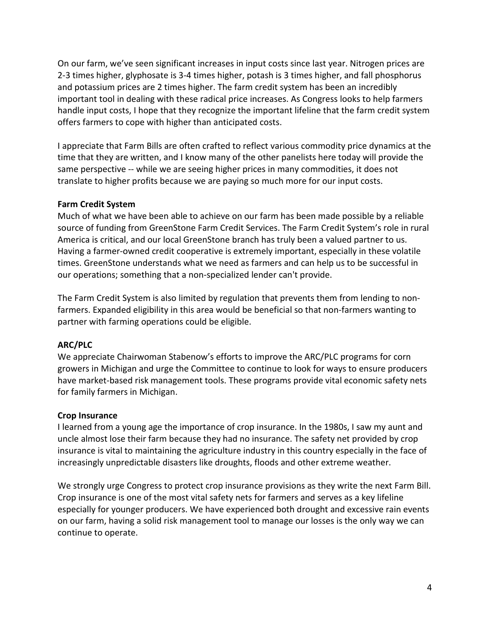On our farm, we've seen significant increases in input costs since last year. Nitrogen prices are 2-3 times higher, glyphosate is 3-4 times higher, potash is 3 times higher, and fall phosphorus and potassium prices are 2 times higher. The farm credit system has been an incredibly important tool in dealing with these radical price increases. As Congress looks to help farmers handle input costs, I hope that they recognize the important lifeline that the farm credit system offers farmers to cope with higher than anticipated costs.

I appreciate that Farm Bills are often crafted to reflect various commodity price dynamics at the time that they are written, and I know many of the other panelists here today will provide the same perspective -- while we are seeing higher prices in many commodities, it does not translate to higher profits because we are paying so much more for our input costs.

#### **Farm Credit System**

Much of what we have been able to achieve on our farm has been made possible by a reliable source of funding from GreenStone Farm Credit Services. The Farm Credit System's role in rural America is critical, and our local GreenStone branch has truly been a valued partner to us. Having a farmer-owned credit cooperative is extremely important, especially in these volatile times. GreenStone understands what we need as farmers and can help us to be successful in our operations; something that a non-specialized lender can't provide.

The Farm Credit System is also limited by regulation that prevents them from lending to nonfarmers. Expanded eligibility in this area would be beneficial so that non-farmers wanting to partner with farming operations could be eligible.

### **ARC/PLC**

We appreciate Chairwoman Stabenow's efforts to improve the ARC/PLC programs for corn growers in Michigan and urge the Committee to continue to look for ways to ensure producers have market-based risk management tools. These programs provide vital economic safety nets for family farmers in Michigan.

#### **Crop Insurance**

I learned from a young age the importance of crop insurance. In the 1980s, I saw my aunt and uncle almost lose their farm because they had no insurance. The safety net provided by crop insurance is vital to maintaining the agriculture industry in this country especially in the face of increasingly unpredictable disasters like droughts, floods and other extreme weather.

We strongly urge Congress to protect crop insurance provisions as they write the next Farm Bill. Crop insurance is one of the most vital safety nets for farmers and serves as a key lifeline especially for younger producers. We have experienced both drought and excessive rain events on our farm, having a solid risk management tool to manage our losses is the only way we can continue to operate.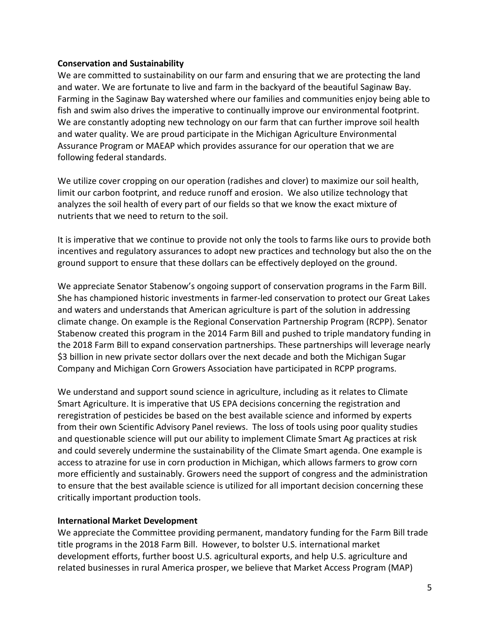### **Conservation and Sustainability**

We are committed to sustainability on our farm and ensuring that we are protecting the land and water. We are fortunate to live and farm in the backyard of the beautiful Saginaw Bay. Farming in the Saginaw Bay watershed where our families and communities enjoy being able to fish and swim also drives the imperative to continually improve our environmental footprint. We are constantly adopting new technology on our farm that can further improve soil health and water quality. We are proud participate in the Michigan Agriculture Environmental Assurance Program or MAEAP which provides assurance for our operation that we are following federal standards.

We utilize cover cropping on our operation (radishes and clover) to maximize our soil health, limit our carbon footprint, and reduce runoff and erosion. We also utilize technology that analyzes the soil health of every part of our fields so that we know the exact mixture of nutrients that we need to return to the soil.

It is imperative that we continue to provide not only the tools to farms like ours to provide both incentives and regulatory assurances to adopt new practices and technology but also the on the ground support to ensure that these dollars can be effectively deployed on the ground.

We appreciate Senator Stabenow's ongoing support of conservation programs in the Farm Bill. She has championed historic investments in farmer-led conservation to protect our Great Lakes and waters and understands that American agriculture is part of the solution in addressing climate change. On example is the Regional Conservation Partnership Program (RCPP). Senator Stabenow created this program in the 2014 Farm Bill and pushed to triple mandatory funding in the 2018 Farm Bill to expand conservation partnerships. These partnerships will leverage nearly \$3 billion in new private sector dollars over the next decade and both the Michigan Sugar Company and Michigan Corn Growers Association have participated in RCPP programs.

We understand and support sound science in agriculture, including as it relates to Climate Smart Agriculture. It is imperative that US EPA decisions concerning the registration and reregistration of pesticides be based on the best available science and informed by experts from their own Scientific Advisory Panel reviews. The loss of tools using poor quality studies and questionable science will put our ability to implement Climate Smart Ag practices at risk and could severely undermine the sustainability of the Climate Smart agenda. One example is access to atrazine for use in corn production in Michigan, which allows farmers to grow corn more efficiently and sustainably. Growers need the support of congress and the administration to ensure that the best available science is utilized for all important decision concerning these critically important production tools.

# **International Market Development**

We appreciate the Committee providing permanent, mandatory funding for the Farm Bill trade title programs in the 2018 Farm Bill. However, to bolster U.S. international market development efforts, further boost U.S. agricultural exports, and help U.S. agriculture and related businesses in rural America prosper, we believe that Market Access Program (MAP)